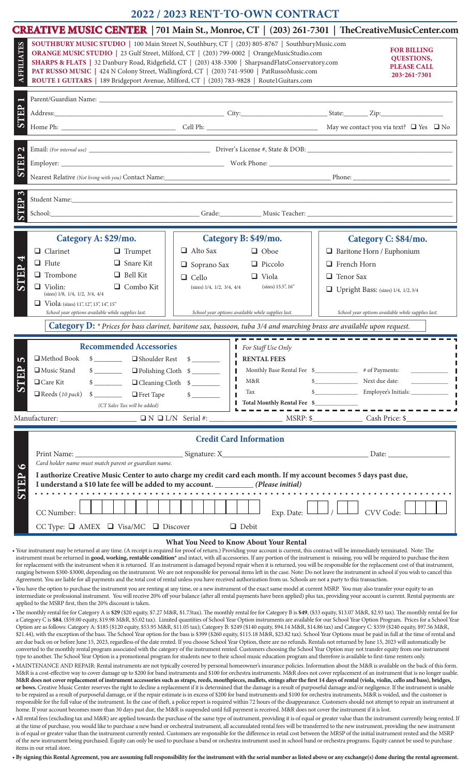## **2022 / 2023 RENT-TO-OWN CONTRACT**

| <b>CREATIVE MUSIC CENTER</b>   701 Main St., Monroe, CT   (203) 261-7301   TheCreativeMusicCenter.com                                                                                                                                                                                                                                                                                                                                                                                                                                                                                                                                                                                                                                                                                                                                                                                                                                                                                                                                                                                                                                                                                                                                                                                                                                                                                                                                                                                                                                                                                                                                                                                                                                                                                                                                                                                                                                                                                                                                                                                                                                                                                                                                                                                                                                                                                                                                 |                                                                                             |                                                                                                                                |                                                                                                                                                                                                                                                                                                                                                                                                                                                                                                                                                                          |
|---------------------------------------------------------------------------------------------------------------------------------------------------------------------------------------------------------------------------------------------------------------------------------------------------------------------------------------------------------------------------------------------------------------------------------------------------------------------------------------------------------------------------------------------------------------------------------------------------------------------------------------------------------------------------------------------------------------------------------------------------------------------------------------------------------------------------------------------------------------------------------------------------------------------------------------------------------------------------------------------------------------------------------------------------------------------------------------------------------------------------------------------------------------------------------------------------------------------------------------------------------------------------------------------------------------------------------------------------------------------------------------------------------------------------------------------------------------------------------------------------------------------------------------------------------------------------------------------------------------------------------------------------------------------------------------------------------------------------------------------------------------------------------------------------------------------------------------------------------------------------------------------------------------------------------------------------------------------------------------------------------------------------------------------------------------------------------------------------------------------------------------------------------------------------------------------------------------------------------------------------------------------------------------------------------------------------------------------------------------------------------------------------------------------------------------|---------------------------------------------------------------------------------------------|--------------------------------------------------------------------------------------------------------------------------------|--------------------------------------------------------------------------------------------------------------------------------------------------------------------------------------------------------------------------------------------------------------------------------------------------------------------------------------------------------------------------------------------------------------------------------------------------------------------------------------------------------------------------------------------------------------------------|
| SOUTHBURY MUSIC STUDIO   100 Main Street N, Southbury, CT   (203) 805-8767   SouthburyMusic.com<br><b>AFFILIATES</b><br>ORANGE MUSIC STUDIO   23 Gulf Street, Milford, CT   (203) 799-0002   OrangeMusicStudio.com<br>SHARPS & FLATS   32 Danbury Road, Ridgefield, CT   (203) 438-3300   SharpsandFlatsConservatory.com<br>PAT RUSSO MUSIC   424 N Colony Street, Wallingford, CT   (203) 741-9500   PatRussoMusic.com<br>ROUTE 1 GUITARS   189 Bridgeport Avenue, Milford, CT   (203) 783-9828   Route1Guitars.com                                                                                                                                                                                                                                                                                                                                                                                                                                                                                                                                                                                                                                                                                                                                                                                                                                                                                                                                                                                                                                                                                                                                                                                                                                                                                                                                                                                                                                                                                                                                                                                                                                                                                                                                                                                                                                                                                                                  |                                                                                             |                                                                                                                                | <b>FOR BILLING</b><br><b>QUESTIONS,</b><br><b>PLEASE CALL</b><br>203-261-7301                                                                                                                                                                                                                                                                                                                                                                                                                                                                                            |
|                                                                                                                                                                                                                                                                                                                                                                                                                                                                                                                                                                                                                                                                                                                                                                                                                                                                                                                                                                                                                                                                                                                                                                                                                                                                                                                                                                                                                                                                                                                                                                                                                                                                                                                                                                                                                                                                                                                                                                                                                                                                                                                                                                                                                                                                                                                                                                                                                                       |                                                                                             |                                                                                                                                |                                                                                                                                                                                                                                                                                                                                                                                                                                                                                                                                                                          |
| STEP                                                                                                                                                                                                                                                                                                                                                                                                                                                                                                                                                                                                                                                                                                                                                                                                                                                                                                                                                                                                                                                                                                                                                                                                                                                                                                                                                                                                                                                                                                                                                                                                                                                                                                                                                                                                                                                                                                                                                                                                                                                                                                                                                                                                                                                                                                                                                                                                                                  |                                                                                             |                                                                                                                                |                                                                                                                                                                                                                                                                                                                                                                                                                                                                                                                                                                          |
|                                                                                                                                                                                                                                                                                                                                                                                                                                                                                                                                                                                                                                                                                                                                                                                                                                                                                                                                                                                                                                                                                                                                                                                                                                                                                                                                                                                                                                                                                                                                                                                                                                                                                                                                                                                                                                                                                                                                                                                                                                                                                                                                                                                                                                                                                                                                                                                                                                       |                                                                                             |                                                                                                                                |                                                                                                                                                                                                                                                                                                                                                                                                                                                                                                                                                                          |
| $\mathbf{\Omega}$<br>STEP                                                                                                                                                                                                                                                                                                                                                                                                                                                                                                                                                                                                                                                                                                                                                                                                                                                                                                                                                                                                                                                                                                                                                                                                                                                                                                                                                                                                                                                                                                                                                                                                                                                                                                                                                                                                                                                                                                                                                                                                                                                                                                                                                                                                                                                                                                                                                                                                             |                                                                                             |                                                                                                                                |                                                                                                                                                                                                                                                                                                                                                                                                                                                                                                                                                                          |
|                                                                                                                                                                                                                                                                                                                                                                                                                                                                                                                                                                                                                                                                                                                                                                                                                                                                                                                                                                                                                                                                                                                                                                                                                                                                                                                                                                                                                                                                                                                                                                                                                                                                                                                                                                                                                                                                                                                                                                                                                                                                                                                                                                                                                                                                                                                                                                                                                                       |                                                                                             |                                                                                                                                |                                                                                                                                                                                                                                                                                                                                                                                                                                                                                                                                                                          |
|                                                                                                                                                                                                                                                                                                                                                                                                                                                                                                                                                                                                                                                                                                                                                                                                                                                                                                                                                                                                                                                                                                                                                                                                                                                                                                                                                                                                                                                                                                                                                                                                                                                                                                                                                                                                                                                                                                                                                                                                                                                                                                                                                                                                                                                                                                                                                                                                                                       |                                                                                             |                                                                                                                                |                                                                                                                                                                                                                                                                                                                                                                                                                                                                                                                                                                          |
| STEP<br>School: Chapter Communication of Grade: Chapter Music Teacher: Chapter Communication of School:                                                                                                                                                                                                                                                                                                                                                                                                                                                                                                                                                                                                                                                                                                                                                                                                                                                                                                                                                                                                                                                                                                                                                                                                                                                                                                                                                                                                                                                                                                                                                                                                                                                                                                                                                                                                                                                                                                                                                                                                                                                                                                                                                                                                                                                                                                                               |                                                                                             |                                                                                                                                |                                                                                                                                                                                                                                                                                                                                                                                                                                                                                                                                                                          |
| Category A: \$29/mo.                                                                                                                                                                                                                                                                                                                                                                                                                                                                                                                                                                                                                                                                                                                                                                                                                                                                                                                                                                                                                                                                                                                                                                                                                                                                                                                                                                                                                                                                                                                                                                                                                                                                                                                                                                                                                                                                                                                                                                                                                                                                                                                                                                                                                                                                                                                                                                                                                  |                                                                                             | Category B: \$49/mo.                                                                                                           | Category C: \$84/mo.                                                                                                                                                                                                                                                                                                                                                                                                                                                                                                                                                     |
| $\Box$ Clarinet<br>$\Box$ Trumpet                                                                                                                                                                                                                                                                                                                                                                                                                                                                                                                                                                                                                                                                                                                                                                                                                                                                                                                                                                                                                                                                                                                                                                                                                                                                                                                                                                                                                                                                                                                                                                                                                                                                                                                                                                                                                                                                                                                                                                                                                                                                                                                                                                                                                                                                                                                                                                                                     | $\Box$ Alto Sax                                                                             | $\Box$ Oboe                                                                                                                    | $\Box$ Baritone Horn / Euphonium                                                                                                                                                                                                                                                                                                                                                                                                                                                                                                                                         |
| v<br>$\Box$ Flute<br>$\Box$ Snare Kit                                                                                                                                                                                                                                                                                                                                                                                                                                                                                                                                                                                                                                                                                                                                                                                                                                                                                                                                                                                                                                                                                                                                                                                                                                                                                                                                                                                                                                                                                                                                                                                                                                                                                                                                                                                                                                                                                                                                                                                                                                                                                                                                                                                                                                                                                                                                                                                                 | $\Box$ Soprano Sax                                                                          | $\Box$ Piccolo                                                                                                                 | $\Box$ French Horn                                                                                                                                                                                                                                                                                                                                                                                                                                                                                                                                                       |
| STEP<br>$\Box$ Trombone<br>$\Box$ Bell Kit                                                                                                                                                                                                                                                                                                                                                                                                                                                                                                                                                                                                                                                                                                                                                                                                                                                                                                                                                                                                                                                                                                                                                                                                                                                                                                                                                                                                                                                                                                                                                                                                                                                                                                                                                                                                                                                                                                                                                                                                                                                                                                                                                                                                                                                                                                                                                                                            | $\Box$ Cello                                                                                | $\Box$ Viola                                                                                                                   | $\Box$ Tenor Sax                                                                                                                                                                                                                                                                                                                                                                                                                                                                                                                                                         |
| $\Box$ Violin:<br>$\Box$ Combo Kit<br>(sizes) 1/8, 1/4, 1/2, 3/4, 4/4<br>$\Box$ Viola: (sizes) 11", 12", 13", 14", 15"                                                                                                                                                                                                                                                                                                                                                                                                                                                                                                                                                                                                                                                                                                                                                                                                                                                                                                                                                                                                                                                                                                                                                                                                                                                                                                                                                                                                                                                                                                                                                                                                                                                                                                                                                                                                                                                                                                                                                                                                                                                                                                                                                                                                                                                                                                                | (sizes) $1/4$ , $1/2$ , $3/4$ , $4/4$                                                       | (sizes) 15.5", 16"                                                                                                             | Upright Bass: (sizes) 1/4, 1/2, 3/4                                                                                                                                                                                                                                                                                                                                                                                                                                                                                                                                      |
| School year options available while supplies last.                                                                                                                                                                                                                                                                                                                                                                                                                                                                                                                                                                                                                                                                                                                                                                                                                                                                                                                                                                                                                                                                                                                                                                                                                                                                                                                                                                                                                                                                                                                                                                                                                                                                                                                                                                                                                                                                                                                                                                                                                                                                                                                                                                                                                                                                                                                                                                                    |                                                                                             | School year options available while supplies last.                                                                             | School year options available while supplies last.                                                                                                                                                                                                                                                                                                                                                                                                                                                                                                                       |
| Category D: * Prices for bass clarinet, baritone sax, bassoon, tuba 3/4 and marching brass are available upon request.                                                                                                                                                                                                                                                                                                                                                                                                                                                                                                                                                                                                                                                                                                                                                                                                                                                                                                                                                                                                                                                                                                                                                                                                                                                                                                                                                                                                                                                                                                                                                                                                                                                                                                                                                                                                                                                                                                                                                                                                                                                                                                                                                                                                                                                                                                                |                                                                                             |                                                                                                                                |                                                                                                                                                                                                                                                                                                                                                                                                                                                                                                                                                                          |
| <b>Recommended Accessories</b><br>$\label{thm:subproblem} \begin{tabular}{c} \hline \rule[1mm]{1mm}{6mm} \rule[1mm]{2mm}{6mm} \rule[1mm]{2mm}{6mm} \rule[1mm]{2mm}{6mm} \rule[1mm]{2mm}{6mm} \rule[1mm]{2mm}{6mm} \rule[1mm]{2mm}{6mm} \rule[1mm]{2mm}{6mm} \rule[1mm]{2mm}{6mm} \rule[1mm]{2mm}{6mm} \rule[1mm]{2mm}{6mm} \rule[1mm]{2mm}{6mm} \rule[1mm]{2mm}{6mm} \rule[1mm]{2mm}{6mm} \rule[1mm]{2mm}{6mm} \rule[1mm]{2mm}{6mm} \rule[1mm]{2mm$<br>$\Box$ Shoulder Rest<br><b>LO</b><br>STEP<br>Music Stand<br>$\frac{\text{S}}{\text{S}}$<br>$\Box$ Care Kit<br>$\Box$ Reeds (10 pack)<br>$\sim$<br>$\Box$ Fret Tape<br>(CT Sales Tax will be added)<br>Manufacturer: ________________________ ON OL/N Serial #: _____                                                                                                                                                                                                                                                                                                                                                                                                                                                                                                                                                                                                                                                                                                                                                                                                                                                                                                                                                                                                                                                                                                                                                                                                                                                                                                                                                                                                                                                                                                                                                                                                                                                                                                           | \$<br>$\Box$ Polishing Cloth $\quad \quad \text{S}$<br>$\Box$ Cleaning Cloth $\$$<br>$\sim$ | For Staff Use Only<br>н.<br><b>RENTAL FEES</b><br>Monthly Base Rental Fee \$<br>M&R<br>Ш<br>Tax<br>Total Monthly Rental Fee \$ | # of Payments:<br>$\frac{1}{\sqrt{2\pi}}\left( \frac{1}{\sqrt{2\pi}}\right) \left( \frac{1}{\sqrt{2\pi}}\right) \left( \frac{1}{\sqrt{2\pi}}\right) \left( \frac{1}{\sqrt{2\pi}}\right) \left( \frac{1}{\sqrt{2\pi}}\right) \left( \frac{1}{\sqrt{2\pi}}\right) \left( \frac{1}{\sqrt{2\pi}}\right) \left( \frac{1}{\sqrt{2\pi}}\right) \left( \frac{1}{\sqrt{2\pi}}\right) \left( \frac{1}{\sqrt{2\pi}}\right) \left( \frac{1}{\sqrt{2\pi}}\right) \left( \frac{1}{\sqrt$<br>$\sim$<br>Next due date:<br>Employee's Initials:<br>$\sim$<br>$MSRP:$ \$<br>Cash Price: \$ |
|                                                                                                                                                                                                                                                                                                                                                                                                                                                                                                                                                                                                                                                                                                                                                                                                                                                                                                                                                                                                                                                                                                                                                                                                                                                                                                                                                                                                                                                                                                                                                                                                                                                                                                                                                                                                                                                                                                                                                                                                                                                                                                                                                                                                                                                                                                                                                                                                                                       |                                                                                             | <b>Credit Card Information</b>                                                                                                 |                                                                                                                                                                                                                                                                                                                                                                                                                                                                                                                                                                          |
| Card holder name must match parent or guardian name.<br>$\bullet$                                                                                                                                                                                                                                                                                                                                                                                                                                                                                                                                                                                                                                                                                                                                                                                                                                                                                                                                                                                                                                                                                                                                                                                                                                                                                                                                                                                                                                                                                                                                                                                                                                                                                                                                                                                                                                                                                                                                                                                                                                                                                                                                                                                                                                                                                                                                                                     |                                                                                             |                                                                                                                                | Date:                                                                                                                                                                                                                                                                                                                                                                                                                                                                                                                                                                    |
| I authorize Creative Music Center to auto charge my credit card each month. If my account becomes 5 days past due,<br>STEP<br>I understand a \$10 late fee will be added to my account. ____________ (Please initial)                                                                                                                                                                                                                                                                                                                                                                                                                                                                                                                                                                                                                                                                                                                                                                                                                                                                                                                                                                                                                                                                                                                                                                                                                                                                                                                                                                                                                                                                                                                                                                                                                                                                                                                                                                                                                                                                                                                                                                                                                                                                                                                                                                                                                 |                                                                                             |                                                                                                                                |                                                                                                                                                                                                                                                                                                                                                                                                                                                                                                                                                                          |
| CC Number:                                                                                                                                                                                                                                                                                                                                                                                                                                                                                                                                                                                                                                                                                                                                                                                                                                                                                                                                                                                                                                                                                                                                                                                                                                                                                                                                                                                                                                                                                                                                                                                                                                                                                                                                                                                                                                                                                                                                                                                                                                                                                                                                                                                                                                                                                                                                                                                                                            |                                                                                             | Exp. Date:                                                                                                                     | $\Box$ $\prime$ $\Box$<br>CVV Code:                                                                                                                                                                                                                                                                                                                                                                                                                                                                                                                                      |
| CC Type: $\Box$ AMEX $\Box$ Visa/MC $\Box$ Discover                                                                                                                                                                                                                                                                                                                                                                                                                                                                                                                                                                                                                                                                                                                                                                                                                                                                                                                                                                                                                                                                                                                                                                                                                                                                                                                                                                                                                                                                                                                                                                                                                                                                                                                                                                                                                                                                                                                                                                                                                                                                                                                                                                                                                                                                                                                                                                                   |                                                                                             | $\Box$ Debit                                                                                                                   |                                                                                                                                                                                                                                                                                                                                                                                                                                                                                                                                                                          |
| Your instrument may be returned at any time. (A receipt is required for proof of return.) Providing your account is current, this contract will be immediately terminated. Note: The<br>instrument must be returned in good, working, rentable condition* and intact, with all accessories. If any portion of the instrument is missing, you will be required to purchase the item<br>for replacement with the instrument when it is returned. If an instrument is damaged beyond repair when it is returned, you will be responsible for the replacement cost of that instrument,<br>ranging between \$300-\$3000, depending on the instrument. We are not responsible for personal items left in the case. Note: Do not leave the instrument in school if you wish to cancel this<br>Agreement. You are liable for all payments and the total cost of rental unless you have received authorization from us. Schools are not a party to this transaction.<br>You have the option to purchase the instrument you are renting at any time, or a new instrument of the exact same model at current MSRP. You may also transfer your equity to an<br>intermediate or professional instrument. You will receive 20% off your balance (after all rental payments have been applied) plus tax, providing your account is current. Rental payments are<br>applied to the MSRP first, then the 20% discount is taken.<br>The monthly rental fee for Category A is \$29 (\$20 equity, \$7.27 M&R, \$1.73tax). The monthly rental fee for Category B is \$49, (\$33 equity, \$13.07 M&R, \$2.93 tax). The monthly rental fee for<br>a Category C is \$84, (\$59.00 equity, \$19.98 M&R, \$5.02 tax). Limited quantities of School Year Option instruments are available for our School Year Option Program. Prices for a School Year<br>Option are as follows: Category A: \$185 (\$120 equity, \$53.95 M&R, \$11.05 tax); Category B: \$249 (\$140 equity, \$94.14 M&R, \$14.86 tax) and Category C: \$359 (\$240 equity, \$97.56 M&R,<br>\$21.44), with the exception of the bass. The School Year option for the bass is \$399 (\$260 equity, \$115.18 M&R, \$23.82 tax). School Year Options must be paid in full at the time of rental and<br>are due back on or before June 15, 2023, regardless of the date rented. If you choose School Year Option, there are no refunds. Rentals not returned by June 15, 2023 will automatically be |                                                                                             | <b>What You Need to Know About Your Rental</b>                                                                                 |                                                                                                                                                                                                                                                                                                                                                                                                                                                                                                                                                                          |
| converted to the monthly rental program associated with the category of the instrument rented. Customers choosing the School Year Option may not transfer equity from one instrument<br>type to another. The School Year Option is a promotional program for students new to their school music education program and therefore is available to first-time renters only.                                                                                                                                                                                                                                                                                                                                                                                                                                                                                                                                                                                                                                                                                                                                                                                                                                                                                                                                                                                                                                                                                                                                                                                                                                                                                                                                                                                                                                                                                                                                                                                                                                                                                                                                                                                                                                                                                                                                                                                                                                                              |                                                                                             |                                                                                                                                |                                                                                                                                                                                                                                                                                                                                                                                                                                                                                                                                                                          |

- MAINTENANCE AND REPAIR: Rental instruments are not typically covered by personal homeowner's insurance policies. Information about the M&R is available on the back of this form. M&R is a cost-effective way to cover damage up to \$200 for band instruments and \$100 for orchestra instruments. M&R does not cover replacement of an instrument that is no longer usable. **M&R does not cover replacement of instrument accessories such as straps, reeds, mouthpieces, mallets, strings after the first 14 days of rental (viola, violin, cello and bass), bridges, or bows.** Creative Music Center reserves the right to decline a replacement if it is determined that the damage is a result of purposeful damage and/or negligence. If the instrument is unable to be repaired as a result of purposeful damage, or if the repair estimate is in excess of \$200 for band instruments and \$100 for orchestra instruments, M&R is voided, and the customer is responsible for the full value of the instrument. In the case of theft, a police report is required within 72 hours of the disappearance. Customers should not attempt to repair an instrument at home. If your account becomes more than 30 days past due, the M&R is suspended until full payment is received. M&R does not cover the instrument if it is lost.
- •All rental fees (excluding tax and M&R) are applied towards the purchase of the same type of instrument, providing it is of equal or greater value than the instrument currently being rented. If at the time of purchase, you would like to purchase a new band or orchestral instrument, all accumulated rental fees will be transferred to the new instrument, providing the new instrument is of equal or greater value than the instrument currently rented. Customers are responsible for the difference in retail cost between the MRSP of the initial instrument rented and the MSRP of the new instrument being purchased. Equity can only be used to purchase a band or orchestra instrument used in school band or orchestra programs. Equity cannot be used to purchase items in our retail store.
- **• By signing this Rental Agreement, you are assuming full responsibility for the instrument with the serial number as listed above or any exchange(s) done during the rental agreement.**